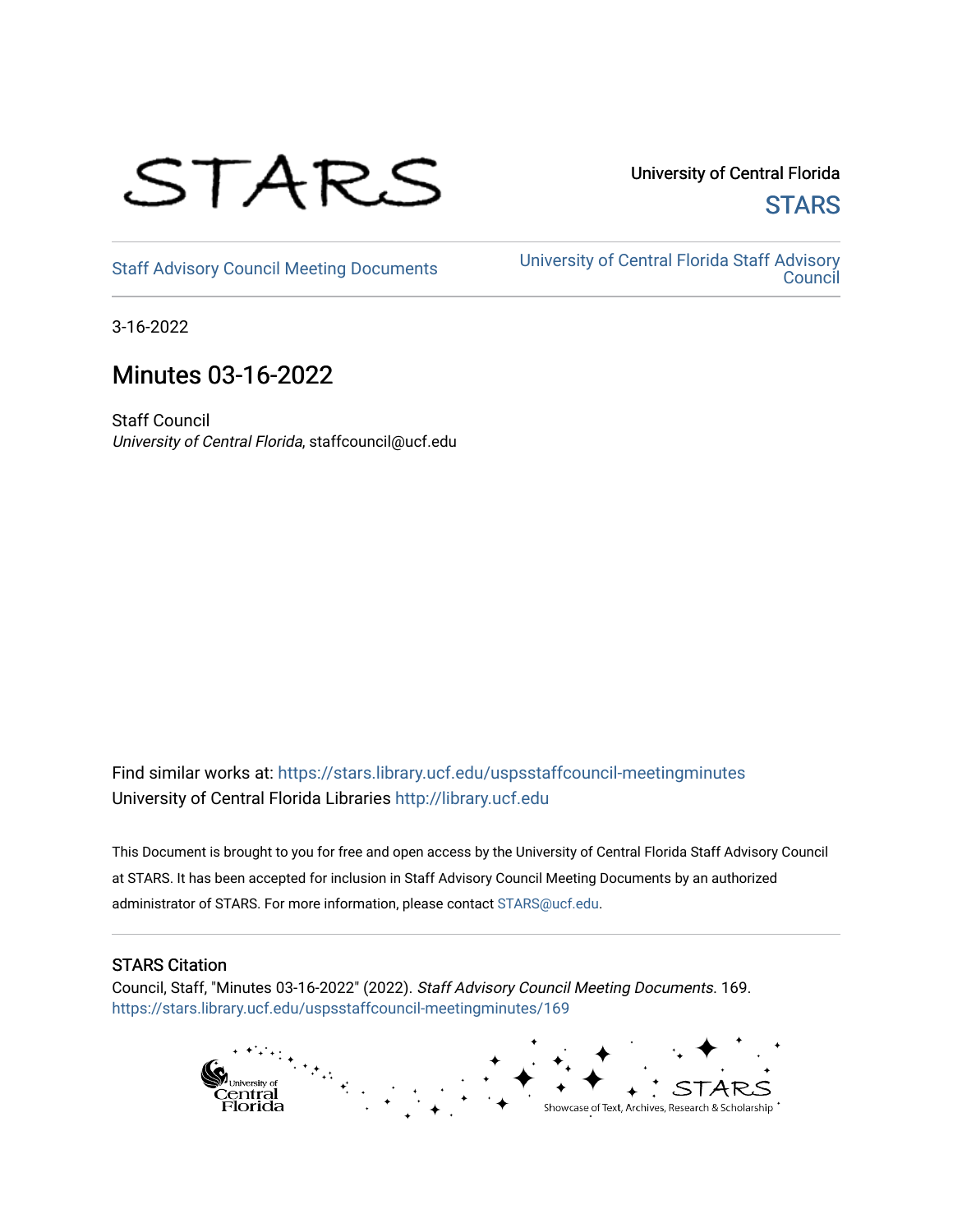

University of Central Florida **STARS** 

[Staff Advisory Council Meeting Documents](https://stars.library.ucf.edu/uspsstaffcouncil-meetingminutes) [University of Central Florida Staff Advisory](https://stars.library.ucf.edu/uspsstaffcouncil)  **Council** 

3-16-2022

# Minutes 03-16-2022

Staff Council University of Central Florida, staffcouncil@ucf.edu

Find similar works at: <https://stars.library.ucf.edu/uspsstaffcouncil-meetingminutes> University of Central Florida Libraries [http://library.ucf.edu](http://library.ucf.edu/) 

This Document is brought to you for free and open access by the University of Central Florida Staff Advisory Council at STARS. It has been accepted for inclusion in Staff Advisory Council Meeting Documents by an authorized administrator of STARS. For more information, please contact [STARS@ucf.edu.](mailto:STARS@ucf.edu)

## STARS Citation

Council, Staff, "Minutes 03-16-2022" (2022). Staff Advisory Council Meeting Documents. 169. [https://stars.library.ucf.edu/uspsstaffcouncil-meetingminutes/169](https://stars.library.ucf.edu/uspsstaffcouncil-meetingminutes/169?utm_source=stars.library.ucf.edu%2Fuspsstaffcouncil-meetingminutes%2F169&utm_medium=PDF&utm_campaign=PDFCoverPages)

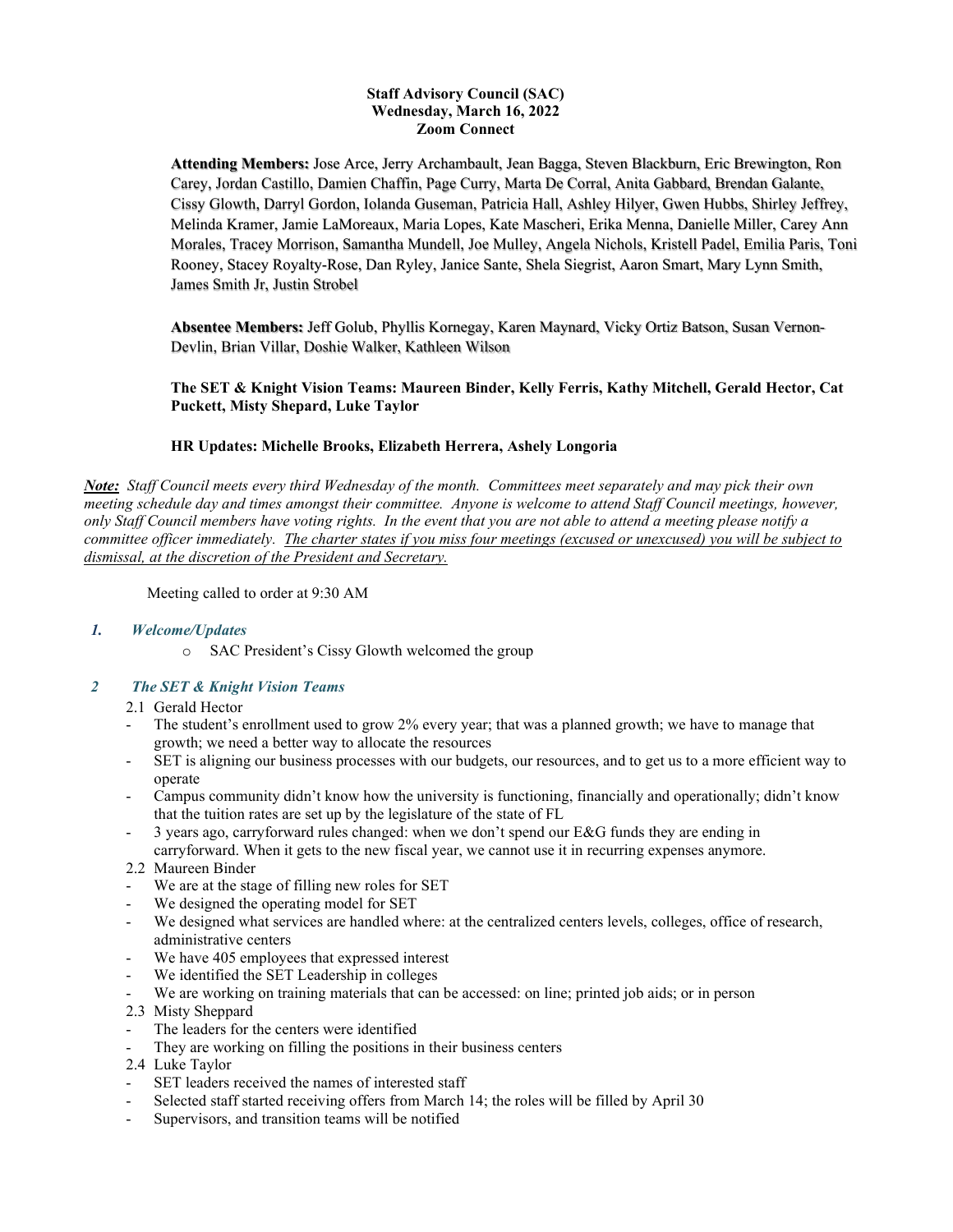#### **Staff Advisory Council (SAC) Wednesday, March 16, 2022 Zoom Connect**

**Attending Members:** Jose Arce, Jerry Archambault, Jean Bagga, Steven Blackburn, Eric Brewington, Ron Carey, Jordan Castillo, Damien Chaffin, Page Curry, Marta De Corral, Anita Gabbard, Brendan Galante, Cissy Glowth, Darryl Gordon, Iolanda Guseman, Patricia Hall, Ashley Hilyer, Gwen Hubbs, Shirley Jeffrey, Melinda Kramer, Jamie LaMoreaux, Maria Lopes, Kate Mascheri, Erika Menna, Danielle Miller, Carey Ann Morales, Tracey Morrison, Samantha Mundell, Joe Mulley, Angela Nichols, Kristell Padel, Emilia Paris, Toni Rooney, Stacey Royalty-Rose, Dan Ryley, Janice Sante, Shela Siegrist, Aaron Smart, Mary Lynn Smith, James Smith Jr, Justin Strobel

**Absentee Members:** Jeff Golub, Phyllis Kornegay, Karen Maynard, Vicky Ortiz Batson, Susan Vernon-Devlin, Brian Villar, Doshie Walker, Kathleen Wilson

**The SET & Knight Vision Teams: Maureen Binder, Kelly Ferris, Kathy Mitchell, Gerald Hector, Cat Puckett, Misty Shepard, Luke Taylor**

#### **HR Updates: Michelle Brooks, Elizabeth Herrera, Ashely Longoria**

*Note: Staff Council meets every third Wednesday of the month. Committees meet separately and may pick their own meeting schedule day and times amongst their committee. Anyone is welcome to attend Staff Council meetings, however, only Staff Council members have voting rights. In the event that you are not able to attend a meeting please notify a committee officer immediately. The charter states if you miss four meetings (excused or unexcused) you will be subject to dismissal, at the discretion of the President and Secretary.*

Meeting called to order at 9:30 AM

#### *1. Welcome/Updates*

o SAC President's Cissy Glowth welcomed the group

## *2 The SET & Knight Vision Teams*

- 2.1 Gerald Hector
- The student's enrollment used to grow 2% every year; that was a planned growth; we have to manage that growth; we need a better way to allocate the resources
- SET is aligning our business processes with our budgets, our resources, and to get us to a more efficient way to operate
- Campus community didn't know how the university is functioning, financially and operationally; didn't know that the tuition rates are set up by the legislature of the state of FL
- 3 years ago, carryforward rules changed: when we don't spend our E&G funds they are ending in carryforward. When it gets to the new fiscal year, we cannot use it in recurring expenses anymore.
- 2.2 Maureen Binder
- We are at the stage of filling new roles for SET
- We designed the operating model for SET
- We designed what services are handled where: at the centralized centers levels, colleges, office of research, administrative centers
- We have 405 employees that expressed interest
- We identified the SET Leadership in colleges
- We are working on training materials that can be accessed: on line; printed job aids; or in person
- 2.3 Misty Sheppard
- The leaders for the centers were identified
- They are working on filling the positions in their business centers
- 2.4 Luke Taylor
- SET leaders received the names of interested staff
- Selected staff started receiving offers from March 14; the roles will be filled by April 30
- Supervisors, and transition teams will be notified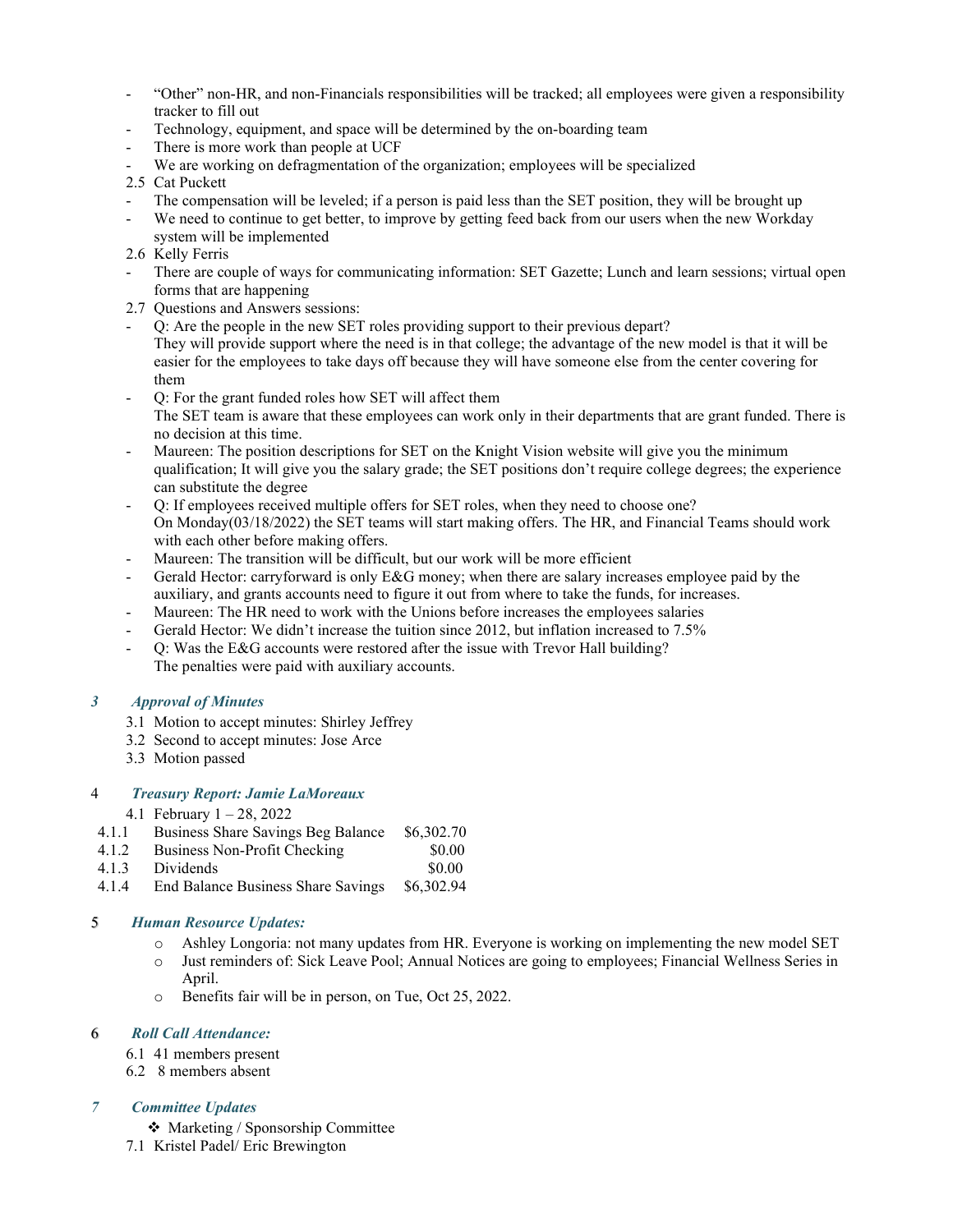- "Other" non-HR, and non-Financials responsibilities will be tracked; all employees were given a responsibility tracker to fill out
- Technology, equipment, and space will be determined by the on-boarding team
- There is more work than people at UCF
- We are working on defragmentation of the organization; employees will be specialized
- 2.5 Cat Puckett
- The compensation will be leveled; if a person is paid less than the SET position, they will be brought up
- We need to continue to get better, to improve by getting feed back from our users when the new Workday system will be implemented
- 2.6 Kelly Ferris
- There are couple of ways for communicating information: SET Gazette; Lunch and learn sessions; virtual open forms that are happening
- 2.7 Questions and Answers sessions:
- Q: Are the people in the new SET roles providing support to their previous depart? They will provide support where the need is in that college; the advantage of the new model is that it will be easier for the employees to take days off because they will have someone else from the center covering for them
- Q: For the grant funded roles how SET will affect them The SET team is aware that these employees can work only in their departments that are grant funded. There is no decision at this time.
- Maureen: The position descriptions for SET on the Knight Vision website will give you the minimum qualification; It will give you the salary grade; the SET positions don't require college degrees; the experience can substitute the degree
- Q: If employees received multiple offers for SET roles, when they need to choose one? On Monday(03/18/2022) the SET teams will start making offers. The HR, and Financial Teams should work with each other before making offers.
- Maureen: The transition will be difficult, but our work will be more efficient
- Gerald Hector: carryforward is only E&G money; when there are salary increases employee paid by the auxiliary, and grants accounts need to figure it out from where to take the funds, for increases.
- Maureen: The HR need to work with the Unions before increases the employees salaries
- Gerald Hector: We didn't increase the tuition since 2012, but inflation increased to 7.5%
- Q: Was the E&G accounts were restored after the issue with Trevor Hall building? The penalties were paid with auxiliary accounts.

#### *3 Approval of Minutes*

- 3.1 Motion to accept minutes: Shirley Jeffrey
- 3.2 Second to accept minutes: Jose Arce
- 3.3 Motion passed

#### 4 *Treasury Report: Jamie LaMoreaux*

- 4.1 February 1 28, 2022
- 4.1.1 Business Share Savings Beg Balance \$6,302.70
- 4.1.2 Business Non-Profit Checking \$0.00
- 4.1.3 Dividends \$0.00
- 4.1.4 End Balance Business Share Savings \$6,302.94

#### 5 *Human Resource Updates:*

- o Ashley Longoria: not many updates from HR. Everyone is working on implementing the new model SET
- o Just reminders of: Sick Leave Pool; Annual Notices are going to employees; Financial Wellness Series in April.
- o Benefits fair will be in person, on Tue, Oct 25, 2022.

#### 6 *Roll Call Attendance:*

- 6.1 41 members present
- 6.2 8 members absent

#### *7 Committee Updates*

Marketing / Sponsorship Committee

7.1 Kristel Padel/ Eric Brewington